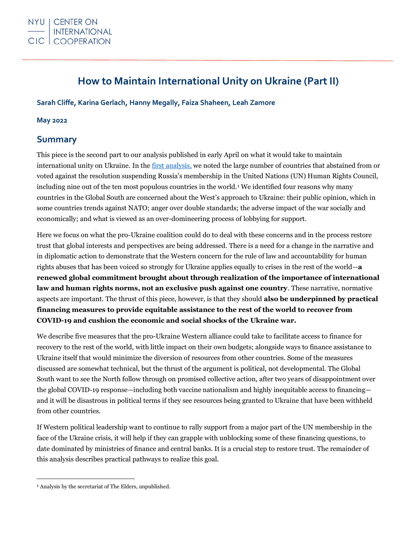# **How to Maintain International Unity on Ukraine (Part II)**

**Sarah Cliffe, Karina Gerlach, Hanny Megally, Faiza Shaheen, Leah Zamore**

### **May 2022**

# **Summary**

This piece is the second part to our [analysis published in early April](https://cic.nyu.edu/sites/default/files/what_needs_to_be_done_to_maintain_international_unity_on_ukraine_april_2022.pdf) on what it would take to maintain international unity on Ukraine. In the [first analysis,](https://cic.nyu.edu/publications/recent-un-votes-ukraine-what-needs-be-done-maintain-international-unity-part-i) we noted the large number of countries that abstained from or voted against the resolution suspending Russia's membership in the United Nations (UN) Human Rights Council, including nine out of the ten most populous countries in the world.<sup>1</sup> We identified four reasons why many countries in the Global South are concerned about the West's approach to Ukraine: their public opinion, which in some countries trends against NATO; anger over double standards; the adverse impact of the war socially and economically; and what is viewed as an over-domineering process of lobbying for support.

Here we focus on what the pro-Ukraine coalition could do to deal with these concerns and in the process restore trust that global interests and perspectives are being addressed. There is a need for a change in the narrative and in diplomatic action to demonstrate that the Western concern for the rule of law and accountability for human rights abuses that has been voiced so strongly for Ukraine applies equally to crises in the rest of the world—**a renewed global commitment brought about through realization of the importance of international law and human rights norms, not an exclusive push against one country**. These narrative, normative aspects are important. The thrust of this piece, however, is that they should **also be underpinned by practical financing measures to provide equitable assistance to the rest of the world to recover from COVID-19 and cushion the economic and social shocks of the Ukraine war.**

We describe five measures that the pro-Ukraine Western alliance could take to facilitate access to finance for recovery to the rest of the world, with little impact on their own budgets; alongside ways to finance assistance to Ukraine itself that would minimize the diversion of resources from other countries. Some of the measures discussed are somewhat technical, but the thrust of the argument is political, not developmental. The Global South want to see the North follow through on promised collective action, after two years of disappointment over the global COVID-19 response—including both vaccine nationalism and highly inequitable access to financing and it will be disastrous in political terms if they see resources being granted to Ukraine that have been withheld from other countries.

If Western political leadership want to continue to rally support from a major part of the UN membership in the face of the Ukraine crisis, it will help if they can grapple with unblocking some of these financing questions, to date dominated by ministries of finance and central banks. It is a crucial step to restore trust. The remainder of this analysis describes practical pathways to realize this goal.

<sup>1</sup> Analysis by the secretariat of The Elders, unpublished.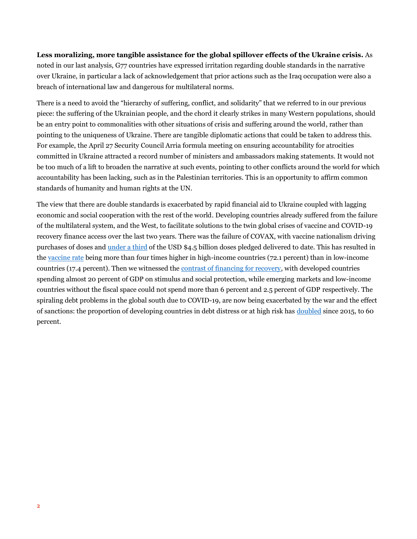**Less moralizing, more tangible assistance for the global spillover effects of the Ukraine crisis.** As noted in our last analysis, G77 countries have expressed irritation regarding double standards in the narrative over Ukraine, in particular a lack of acknowledgement that prior actions such as the Iraq occupation were also a breach of international law and dangerous for multilateral norms.

There is a need to avoid the "hierarchy of suffering, conflict, and solidarity" that we referred to in our previous piece: the suffering of the Ukrainian people, and the chord it clearly strikes in many Western populations, should be an entry point to commonalities with other situations of crisis and suffering around the world, rather than pointing to the uniqueness of Ukraine. There are tangible diplomatic actions that could be taken to address this. For example, the April 27 Security Council Arria formula meeting on ensuring accountability for atrocities committed in Ukraine attracted a record number of ministers and ambassadors making statements. It would not be too much of a lift to broaden the narrative at such events, pointing to other conflicts around the world for which accountability has been lacking, such as in the Palestinian territories. This is an opportunity to affirm common standards of humanity and human rights at the UN.

The view that there are double standards is exacerbated by rapid financial aid to Ukraine coupled with lagging economic and social cooperation with the rest of the world. Developing countries already suffered from the failure of the multilateral system, and the West, to facilitate solutions to the twin global crises of vaccine and COVID-19 recovery finance access over the last two years. There was the failure of COVAX, with vaccine nationalism driving purchases of doses and [under a third](https://www.unicef.org/supply/covid-19-vaccine-market-dashboard) of the USD \$4.5 billion doses pledged delivered to date. This has resulted in the [vaccine rate](https://data.undp.org/vaccine-equity/) being more than four times higher in high-income countries (72.1 percent) than in low-income countries (17.4 percent). Then we witnessed the [contrast of financing for recovery,](https://www.imf.org/en/Topics/imf-and-covid19/Fiscal-Policies-Database-in-Response-to-COVID-19) with developed countries spending almost 20 percent of GDP on stimulus and social protection, while emerging markets and low-income countries without the fiscal space could not spend more than 6 percent and 2.5 percent of GDP respectively. The spiraling debt problems in the global south due to COVID-19, are now being exacerbated by the war and the effect of sanctions: the proportion of developing countries in debt distress or at high risk has [doubled](https://www.nasdaq.com/articles/imf-meetings-new-order-old-problems) since 2015, to 60 percent.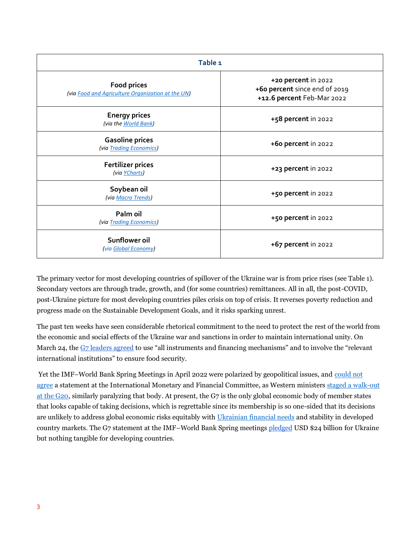| Table <sub>1</sub>                                                      |                                                                                    |
|-------------------------------------------------------------------------|------------------------------------------------------------------------------------|
| <b>Food prices</b><br>(via Food and Agriculture Organization at the UN) | +20 percent in 2022<br>+60 percent since end of 2019<br>+12.6 percent Feb-Mar 2022 |
| <b>Energy prices</b><br>(via the World Bank)                            | +58 percent in 2022                                                                |
| <b>Gasoline prices</b><br>(via Trading Economics)                       | +60 percent in 2022                                                                |
| <b>Fertilizer prices</b><br>(via YCharts)                               | +23 percent in 2022                                                                |
| Soybean oil<br>(via Macro Trends)                                       | +50 percent in 2022                                                                |
| Palm oil<br>(via Trading Economics)                                     | +50 percent in 2022                                                                |
| Sunflower oil<br>(via Global Economy)                                   | +67 percent in 2022                                                                |

The primary vector for most developing countries of spillover of the Ukraine war is from price rises (see Table 1). Secondary vectors are through trade, growth, and (for some countries) remittances. All in all, the post-COVID, post-Ukraine picture for most developing countries piles crisis on top of crisis. It reverses poverty reduction and progress made on the Sustainable Development Goals, and it risks sparking unrest.

The past ten weeks have seen considerable rhetorical commitment to the need to protect the rest of the world from the economic and social effects of the Ukraine war and sanctions in order to maintain international unity. On March 24, the [G7 leaders agreed](https://www.consilium.europa.eu/en/press/press-releases/2022/03/24/g7-leaders-statement-brussels-24-march-2022/) to use "all instruments and financing mechanisms" and to involve the "relevant international institutions" to ensure food security.

Yet the IMF–World Bank Spring Meetings in April 2022 were polarized by geopolitical issues, and [could not](https://www.imf.org/en/News/Articles/2022/04/21/tr220421-transcript-of-the-imfc-press-briefing)  [agree](https://www.imf.org/en/News/Articles/2022/04/21/tr220421-transcript-of-the-imfc-press-briefing) a statement at the International Monetary and Financial Committee, as Western ministers [staged a walk-out](https://www.scmp.com/news/world/russia-central-asia/article/3174961/ukraine-war-us-uk-and-canada-officials-walk-out-g20)  [at the G20,](https://www.scmp.com/news/world/russia-central-asia/article/3174961/ukraine-war-us-uk-and-canada-officials-walk-out-g20) similarly paralyzing that body. At present, the G7 is the only global economic body of member states that looks capable of taking decisions, which is regrettable since its membership is so one-sided that its decisions are unlikely to address global economic risks equitably with [Ukrainian financial needs](https://www.msn.com/en-gb/news/world/g7-finance-ministers-pledge-more-than-24-billion-to-ukraine/ar-AAWqiHg) and stability in developed country markets. The G7 statement at the IMF–World Bank Spring meetings [pledged](https://www.reuters.com/world/g7-finance-ministers-pledge-more-than-24-bln-ukraine-2022-04-20/) USD \$24 billion for Ukraine but nothing tangible for developing countries.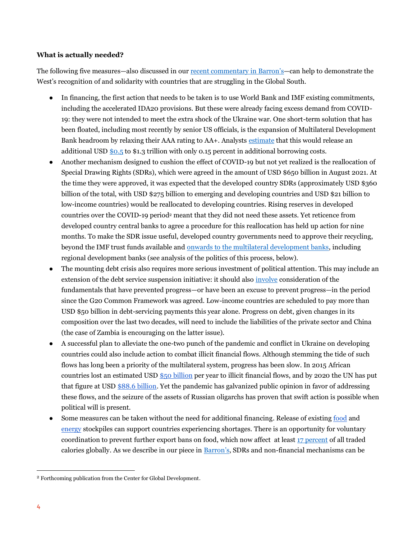### **What is actually needed?**

The following five measures—also discussed in ou[r recent commentary in](https://www.barrons.com/articles/the-west-is-fully-behind-ukraine-developing-countries-see-a-double-standard-51652998228?tesla=y) Barron's—can help to demonstrate the West's recognition of and solidarity with countries that are struggling in the Global South.

- In financing, the first action that needs to be taken is to use World Bank and IMF existing commitments, including the accelerated IDA20 provisions. But these were already facing excess demand from COVID-19: they were not intended to meet the extra shock of the Ukraine war. One short-term solution that has been floated, including most recently by senior US officials, is the expansion of Multilateral Development Bank headroom by relaxing their AAA rating to AA+. Analysts [estimate](https://www.ft.com/content/13583398-6878-4fbb-bae0-4f0ded662460) that this would release an additional US[D \\$0.5](https://www.cgdev.org/blog/half-trillion-dry-powder-time-mdb-financial-reform-now) to \$1.3 trillion with only 0.15 percent in additional borrowing costs.
- Another mechanism designed to cushion the effect of COVID-19 but not yet realized is the reallocation of Special Drawing Rights (SDRs), which were agreed in the amount of USD \$650 billion in August 2021. At the time they were approved, it was expected that the developed country SDRs (approximately USD \$360 billion of the total, with USD \$275 billion to emerging and developing countries and USD \$21 billion to low-income countries) would be reallocated to developing countries. Rising reserves in developed countries over the COVID-19 period<sup>2</sup> meant that they did not need these assets. Yet reticence from developed country central banks to agree a procedure for this reallocation has held up action for nine months. To make the SDR issue useful, developed country governments need to approve their recycling, beyond the IMF trust funds available and [onwards to the multilateral development banks,](https://www.cgdev.org/blog/how-we-can-put-sdrs-work-fight-against-climate-change-multilateral-development-bank-option) including regional development banks (see analysis of the politics of this process, below).
- The mounting debt crisis also requires more serious investment of political attention. This may include an extension of the debt service suspension initiative: it should also [involve](https://www.cgdev.org/blog/spiralling-debt-crisis-and-what-do-about-it) consideration of the fundamentals that have prevented progress—or have been an excuse to prevent progress—in the period since the G20 Common Framework was agreed. Low-income countries are scheduled to pay more than USD \$50 billion in debt-servicing payments this year alone. Progress on debt, given changes in its composition over the last two decades, will need to include the liabilities of the private sector and China (the case of Zambia is encouraging on the latter issue).
- A successful plan to alleviate the one-two punch of the pandemic and conflict in Ukraine on developing countries could also include action to combat illicit financial flows. Although stemming the tide of such flows has long been a priority of the multilateral system, progress has been slow. In 2015 African countries lost an estimated USD [\\$50 billion](https://www.uneca.org/sites/default/files/PublicationFiles/iff_main_report_26feb_en.pdf) per year to illicit financial flows, and by 2020 the UN has put that figure at USD [\\$88.6 billion.](https://unctad.org/news/how-africa-can-curb-illicit-financial-flows-strengthen-economies-post-covid-19) Yet the pandemic has galvanized public opinion in favor of addressing these flows, and the seizure of the assets of Russian oligarchs has proven that swift action is possible when political will is present.
- Some measures can be taken without the need for additional financing. Release of existin[g food](https://www.usda.gov/oce/commodity/wasde/wasde0322.pdf) and [energy](https://www.energy.gov/articles/us-and-30-countries-commit-release-60-million-barrels-oil-strategic-reserves-stabilize) stockpiles can support countries experiencing shortages. There is an opportunity for voluntary coordination to prevent further export bans on food, which now affect at least [17 percent](https://www.ifpri.org/blog/bad-worse-how-export-restrictions-exacerbate-global-food-security) of all traded calories globally. As we describe in our piece in [Barron](https://www.barrons.com/articles/the-west-is-fully-behind-ukraine-developing-countries-see-a-double-standard-51652998228?tesla=y)'s, SDRs and non-financial mechanisms can be

<sup>2</sup> Forthcoming publication from the Center for Global Development.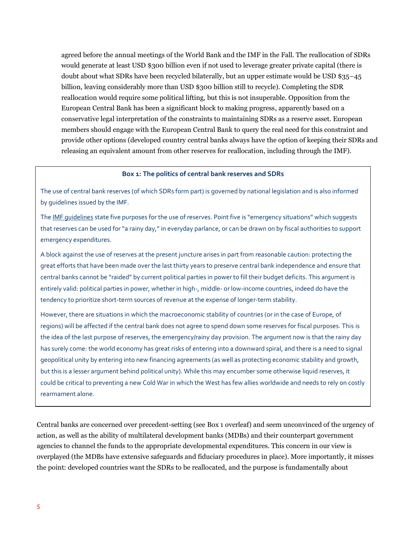agreed before the annual meetings of the World Bank and the IMF in the Fall. The reallocation of SDRs would generate at least USD \$300 billion even if not used to leverage greater private capital (there is doubt about what SDRs have been recycled bilaterally, but an upper estimate would be USD \$35–45 billion, leaving considerably more than USD \$300 billion still to recycle). Completing the SDR reallocation would require some political lifting, but this is not insuperable. Opposition from the European Central Bank has been a significant block to making progress, apparently based on a conservative legal interpretation of the constraints to maintaining SDRs as a reserve asset. European members should engage with the European Central Bank to query the real need for this constraint and provide other options (developed country central banks always have the option of keeping their SDRs and releasing an equivalent amount from other reserves for reallocation, including through the IMF).

#### **Box 1: The politics of central bank reserves and SDRs**

The use of central bank reserves (of which SDRs form part) is governed by national legislation and is also informed by guidelines issued by the IMF.

The IMF quidelines state five purposes for the use of reserves. Point five is "emergency situations" which suggests that reserves can be used for "a rainy day," in everyday parlance, or can be drawn on by fiscal authorities to support emergency expenditures.

A block against the use of reserves at the present juncture arises in part from reasonable caution: protecting the great efforts that have been made over the last thirty years to preserve central bank independence and ensure that central banks cannot be "raided" by current political parties in power to fill their budget deficits. This argument is entirely valid: political parties in power, whether in high-, middle- or low-income countries, indeed do have the tendency to prioritize short-term sources of revenue at the expense of longer-term stability.

However, there are situations in which the macroeconomic stability of countries (or in the case of Europe, of regions) will be affected if the central bank does not agree to spend down some reserves for fiscal purposes. This is the idea of the last purpose of reserves, the emergency/rainy day provision. The argument now is that the rainy day has surely come: the world economy has great risks of entering into a downward spiral, and there is a need to signal geopolitical unity by entering into new financing agreements (as well as protecting economic stability and growth, but this is a lesser argument behind political unity). While this may encumber some otherwise liquid reserves, it could be critical to preventing a new Cold War in which the West has few allies worldwide and needs to rely on costly rearmament alone.

Central banks are concerned over precedent-setting (see Box 1 overleaf) and seem unconvinced of the urgency of action, as well as the ability of multilateral development banks (MDBs) and their counterpart government agencies to channel the funds to the appropriate developmental expenditures. This concern in our view is overplayed (the MDBs have extensive safeguards and fiduciary procedures in place). More importantly, it misses the point: developed countries want the SDRs to be reallocated, and the purpose is fundamentally about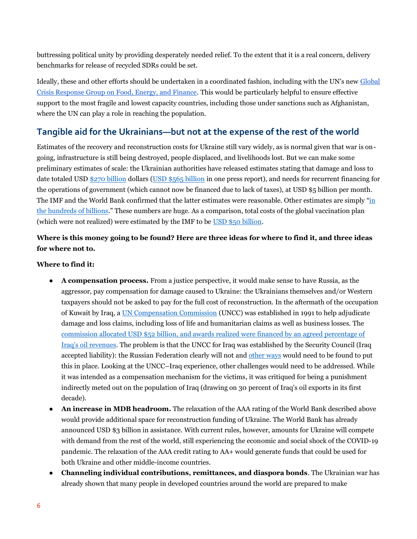buttressing political unity by providing desperately needed relief. To the extent that it is a real concern, delivery benchmarks for release of recycled SDRs could be set.

Ideally, these and other efforts should be undertaken in a coordinated fashion, including with the UN's new [Global](https://news.un.org/pages/global-crisis-response-group/)  [Crisis Response Group on Food, Energy, and Finance.](https://news.un.org/pages/global-crisis-response-group/) This would be particularly helpful to ensure effective support to the most fragile and lowest capacity countries, including those under sanctions such as Afghanistan, where the UN can play a role in reaching the population.

# **Tangible aid for the Ukrainians—but not at the expense of the rest of the world**

Estimates of the recovery and reconstruction costs for Ukraine still vary widely, as is normal given that war is ongoing, infrastructure is still being destroyed, people displaced, and livelihoods lost. But we can make some preliminary estimates of scale: the Ukrainian authorities have released estimates stating that damage and loss to date totaled US[D \\$270 billion](https://www.ft.com/content/46622383-d75c-4a08-b909-fbf1279b3814) dollars [\(USD \\$565 billion](https://www.investmentmonitor.ai/special-focus/ukraine-crisis/ukraine-reconstruction-cost-rebuilding) in one press report), and needs for recurrent financing for the operations of government (which cannot now be financed due to lack of taxes), at USD \$5 billion per month. The IMF and the World Bank confirmed that the latter estimates were reasonable. Other estimates are simply "[in](https://www.bloomberg.com/news/articles/2022-04-19/europe-expects-to-pay-bulk-of-ukraine-s-reconstruction-costs)  [the hundreds of billions](https://www.bloomberg.com/news/articles/2022-04-19/europe-expects-to-pay-bulk-of-ukraine-s-reconstruction-costs)." These numbers are huge. As a comparison, total costs of the global vaccination plan (which were not realized) were estimated by the IMF to be [USD \\$50 billion.](https://www.imf.org/en/News/Articles/2021/06/01/a-new-commitment-for-vaccine-equity-and-defeating-the-pandemic)

### **Where is this money going to be found? Here are three ideas for where to find it, and three ideas for where not to.**

### **Where to find it:**

- **A compensation process.** From a justice perspective, it would make sense to have Russia, as the aggressor, pay compensation for damage caused to Ukraine: the Ukrainians themselves and/or Western taxpayers should not be asked to pay for the full cost of reconstruction. In the aftermath of the occupation of Kuwait by Iraq, a [UN Compensation Commission](https://news.un.org/en/story/2022/02/1111632) (UNCC) was established in 1991 to help adjudicate damage and loss claims, including loss of life and humanitarian claims as well as business losses. The commission allocated USD \$52 [billion, and awards realized were financed by an agreed percentage of](https://oxford.universitypressscholarship.com/view/10.1093/0199291926.001.0001/acprof-9780199291922)  [Iraq's oil revenues](https://oxford.universitypressscholarship.com/view/10.1093/0199291926.001.0001/acprof-9780199291922). The problem is that the UNCC for Iraq was established by the Security Council (Iraq accepted liability): the Russian Federation clearly will not and [other ways](https://fortune.com/2022/04/21/ukraine-reconstruction-cost-rebuild-economists-plan-russia-foot-trillion-bill/) would need to be found to put this in place. Looking at the UNCC–Iraq experience, other challenges would need to be addressed. While it was intended as a compensation mechanism for the victims, it was critiqued for being a punishment indirectly meted out on the population of Iraq (drawing on 30 percent of Iraq's oil exports in its first decade).
- **An increase in MDB headroom.** The relaxation of the AAA rating of the World Bank described above would provide additional space for reconstruction funding of Ukraine. The World Bank has already announced USD \$3 billion in assistance. With current rules, however, amounts for Ukraine will compete with demand from the rest of the world, still experiencing the economic and social shock of the COVID-19 pandemic. The relaxation of the AAA credit rating to AA+ would generate funds that could be used for both Ukraine and other middle-income countries.
- **Channeling individual contributions, remittances, and diaspora bonds**. The Ukrainian war has already shown that many people in developed countries around the world are prepared to make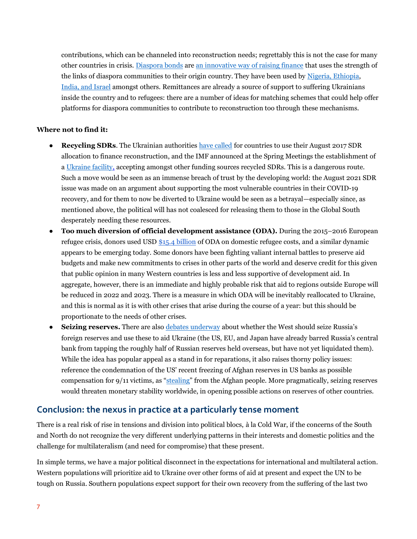contributions, which can be channeled into reconstruction needs; regrettably this is not the case for many other countries in crisis. [Diaspora bonds](https://www.investopedia.com/articles/investing/012815/how-diaspora-bonds-work.asp) ar[e an](https://cic.nyu.edu/publications/Innovative-Financing-for-Peacebuilding-Key-Resources) [innovative way of raising finance](https://cic.nyu.edu/publications/Innovative-Finance-to-Sustain-Peace-Mapping-Ideas) that uses the strength of the links of diaspora communities to their origin country. They have been used by [Nigeria, Ethiopia,](https://www.brookings.edu/blog/africa-in-focus/2018/01/24/foresight-africa-viewpoint-debt-by-diaspora-ties-that-bond/) [India, and Israel](http://web.worldbank.org/archive/website01363/WEB/IMAGES/DIASPORA.PDF) amongst others. Remittances are already a source of support to suffering Ukrainians inside the country and to refugees: there are a number of ideas for matching schemes that could help offer platforms for diaspora communities to contribute to reconstruction too through these mechanisms.

### **Where not to find it:**

- **Recycling SDRs**. The Ukrainian authorities [have called](https://www.ft.com/content/46622383-d75c-4a08-b909-fbf1279b3814) for countries to use their August 2017 SDR allocation to finance reconstruction, and the IMF announced at the Spring Meetings the establishment of [a Ukraine facility,](https://www.imf.org/en/News/Articles/2022/04/21/tr220421-transcript-of-the-imfc-press-briefing) accepting amongst other funding sources recycled SDRs. This is a dangerous route. Such a move would be seen as an immense breach of trust by the developing world: the August 2021 SDR issue was made on an argument about supporting the most vulnerable countries in their COVID-19 recovery, and for them to now be diverted to Ukraine would be seen as a betrayal—especially since, as mentioned above, the political will has not coalesced for releasing them to those in the Global South desperately needing these resources.
- **Too much diversion of official development assistance (ODA).** During the 2015–2016 European refugee crisis, donors used US[D \\$15.4 billion](https://www.devex.com/news/debating-the-rules-what-in-house-refugee-costs-count-as-aid-90602) of ODA on domestic refugee costs, and a similar dynamic appears to be emerging today. Some donors have been fighting valiant internal battles to preserve aid budgets and make new commitments to crises in other parts of the world and deserve credit for this given that public opinion in many Western countries is less and less supportive of development aid. In aggregate, however, there is an immediate and highly probable risk that aid to regions outside Europe will be reduced in 2022 and 2023. There is a measure in which ODA will be inevitably reallocated to Ukraine, and this is normal as it is with other crises that arise during the course of a year: but this should be proportionate to the needs of other crises.
- **Seizing reserves.** There are also [debates underway](https://www.msn.com/en-us/news/world/calls-grow-to-seize-russian-assets-to-help-pay-for-ukraine-e2-80-99s-reconstruction/ar-AAWw2Kc) about whether the West should seize Russia's foreign reserves and use these to aid Ukraine (the US, EU, and Japan have already barred Russia's central bank from tapping the roughly [half of Russian reserves held overseas,](https://fortune.com/2022/03/03/russia-sanctions-central-bank-ruble-us-eu-foreign-reserves/) but have not yet liquidated them). While the idea has popular appeal as a stand in for reparations, it also raises thorny policy issues: reference the condemnation of the US' recent freezing of Afghan reserves in US banks as possible compensation for 9/11 victims, as "[stealing](https://www.nytimes.com/2022/05/10/us/politics/afghans-central-bank-sept-11.html)" from the Afghan people. More pragmatically, seizing reserves would threaten monetary stability worldwide, in opening possible actions on reserves of other countries.

# **Conclusion: the nexus in practice at a particularly tense moment**

There is a real risk of rise in tensions and division into political blocs, à la Cold War, if the concerns of the South and North do not recognize the very different underlying patterns in their interests and domestic politics and the challenge for multilateralism (and need for compromise) that these present.

In simple terms, we have a major political disconnect in the expectations for international and multilateral action. Western populations will prioritize aid to Ukraine over other forms of aid at present and expect the UN to be tough on Russia. Southern populations expect support for their own recovery from the suffering of the last two